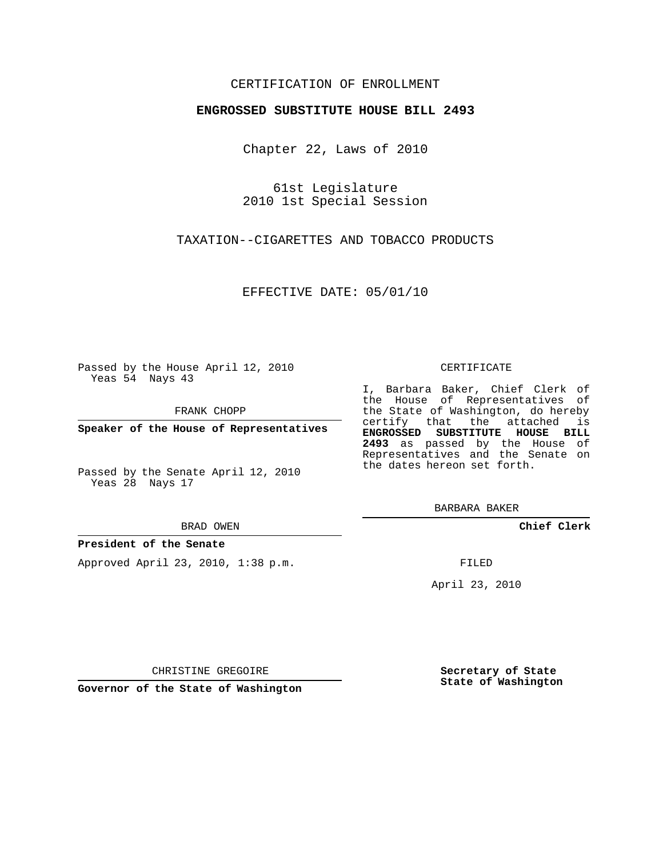## CERTIFICATION OF ENROLLMENT

#### **ENGROSSED SUBSTITUTE HOUSE BILL 2493**

Chapter 22, Laws of 2010

61st Legislature 2010 1st Special Session

TAXATION--CIGARETTES AND TOBACCO PRODUCTS

EFFECTIVE DATE: 05/01/10

Passed by the House April 12, 2010 Yeas 54 Nays 43

FRANK CHOPP

**Speaker of the House of Representatives**

Passed by the Senate April 12, 2010 Yeas 28 Nays 17

#### BRAD OWEN

#### **President of the Senate**

Approved April 23, 2010, 1:38 p.m.

#### CERTIFICATE

I, Barbara Baker, Chief Clerk of the House of Representatives of the State of Washington, do hereby certify that the attached is **ENGROSSED SUBSTITUTE HOUSE BILL 2493** as passed by the House of Representatives and the Senate on the dates hereon set forth.

BARBARA BAKER

**Chief Clerk**

FILED

April 23, 2010

CHRISTINE GREGOIRE

**Governor of the State of Washington**

**Secretary of State State of Washington**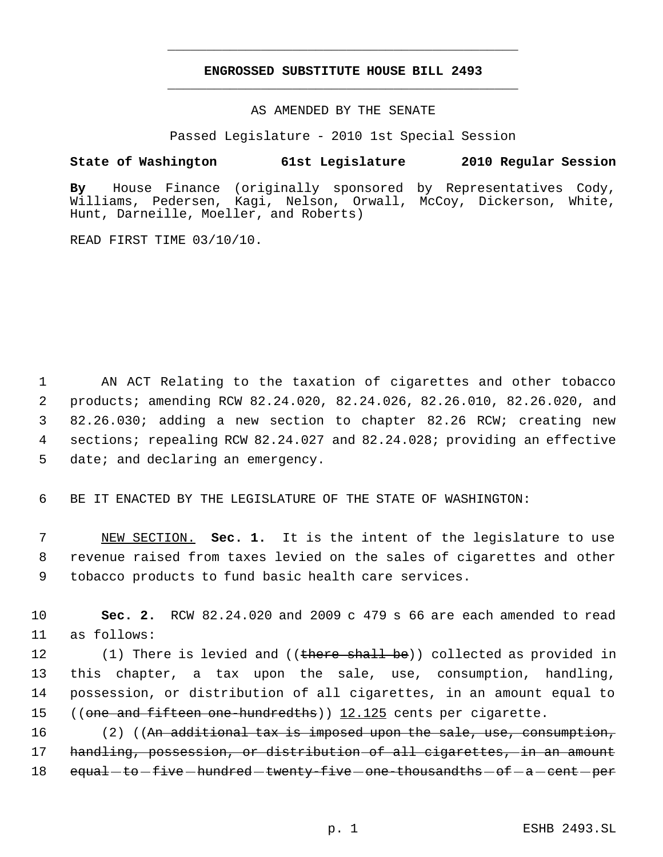# **ENGROSSED SUBSTITUTE HOUSE BILL 2493** \_\_\_\_\_\_\_\_\_\_\_\_\_\_\_\_\_\_\_\_\_\_\_\_\_\_\_\_\_\_\_\_\_\_\_\_\_\_\_\_\_\_\_\_\_

\_\_\_\_\_\_\_\_\_\_\_\_\_\_\_\_\_\_\_\_\_\_\_\_\_\_\_\_\_\_\_\_\_\_\_\_\_\_\_\_\_\_\_\_\_

### AS AMENDED BY THE SENATE

Passed Legislature - 2010 1st Special Session

## **State of Washington 61st Legislature 2010 Regular Session**

**By** House Finance (originally sponsored by Representatives Cody, Williams, Pedersen, Kagi, Nelson, Orwall, McCoy, Dickerson, White, Hunt, Darneille, Moeller, and Roberts)

READ FIRST TIME 03/10/10.

 AN ACT Relating to the taxation of cigarettes and other tobacco products; amending RCW 82.24.020, 82.24.026, 82.26.010, 82.26.020, and 82.26.030; adding a new section to chapter 82.26 RCW; creating new sections; repealing RCW 82.24.027 and 82.24.028; providing an effective date; and declaring an emergency.

6 BE IT ENACTED BY THE LEGISLATURE OF THE STATE OF WASHINGTON:

 7 NEW SECTION. **Sec. 1.** It is the intent of the legislature to use 8 revenue raised from taxes levied on the sales of cigarettes and other 9 tobacco products to fund basic health care services.

10 **Sec. 2.** RCW 82.24.020 and 2009 c 479 s 66 are each amended to read 11 as follows:

12 (1) There is levied and ((there shall be)) collected as provided in 13 this chapter, a tax upon the sale, use, consumption, handling, 14 possession, or distribution of all cigarettes, in an amount equal to 15 ((one and fifteen one hundredths)) 12.125 cents per cigarette.

16 (2) ((An additional tax is imposed upon the sale, use, consumption, 17 handling, possession, or distribution of all cigarettes, in an amount  $18$  equal—to—five—hundred—twenty—five—one—thousandths—of—a—cent—per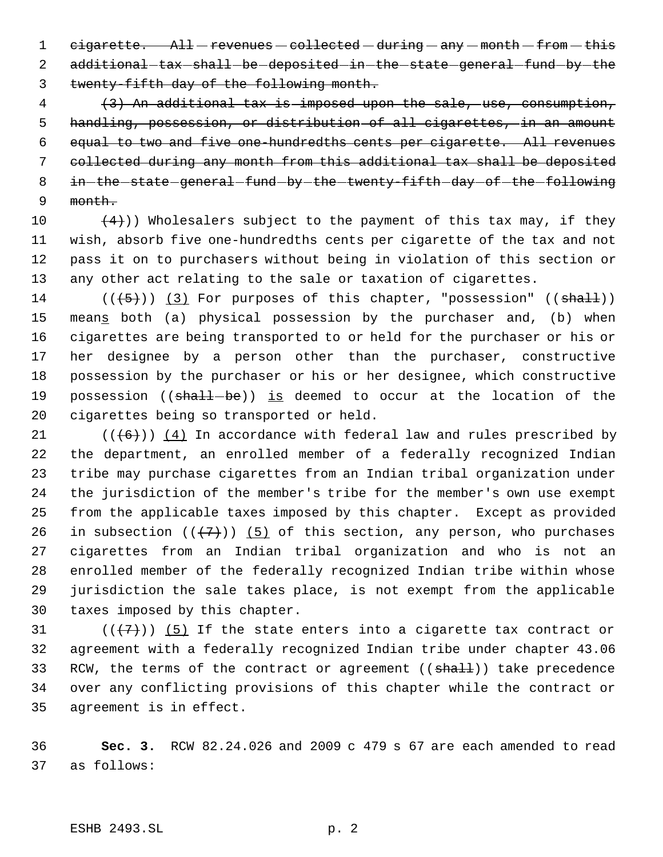1 cigarette. All-revenues-collected-during-any-month-from-this 2 additional-tax-shall-be-deposited-in-the-state-general-fund-by-the twenty-fifth day of the following month.

 (3) An additional tax is imposed upon the sale, use, consumption, handling, possession, or distribution of all cigarettes, in an amount equal to two and five one-hundredths cents per cigarette. All revenues collected during any month from this additional tax shall be deposited 8 in-the-state-general-fund-by-the-twenty-fifth-day-of-the-following month.

 $(4)$ )) Wholesalers subject to the payment of this tax may, if they wish, absorb five one-hundredths cents per cigarette of the tax and not pass it on to purchasers without being in violation of this section or any other act relating to the sale or taxation of cigarettes.

14 ( $(\overline{5})$ ) (3) For purposes of this chapter, "possession" (( $\overline{shalt}$ )) 15 means both (a) physical possession by the purchaser and, (b) when cigarettes are being transported to or held for the purchaser or his or her designee by a person other than the purchaser, constructive possession by the purchaser or his or her designee, which constructive 19 possession ( $(\text{shall} - \text{be})$ ) is deemed to occur at the location of the cigarettes being so transported or held.

 $((+6))$  (4) In accordance with federal law and rules prescribed by the department, an enrolled member of a federally recognized Indian tribe may purchase cigarettes from an Indian tribal organization under the jurisdiction of the member's tribe for the member's own use exempt from the applicable taxes imposed by this chapter. Except as provided 26 in subsection  $((+7))$  (5) of this section, any person, who purchases cigarettes from an Indian tribal organization and who is not an enrolled member of the federally recognized Indian tribe within whose jurisdiction the sale takes place, is not exempt from the applicable taxes imposed by this chapter.

 $((\langle 7 \rangle)(5)$  If the state enters into a cigarette tax contract or agreement with a federally recognized Indian tribe under chapter 43.06 33 RCW, the terms of the contract or agreement ((shall)) take precedence over any conflicting provisions of this chapter while the contract or agreement is in effect.

 **Sec. 3.** RCW 82.24.026 and 2009 c 479 s 67 are each amended to read as follows: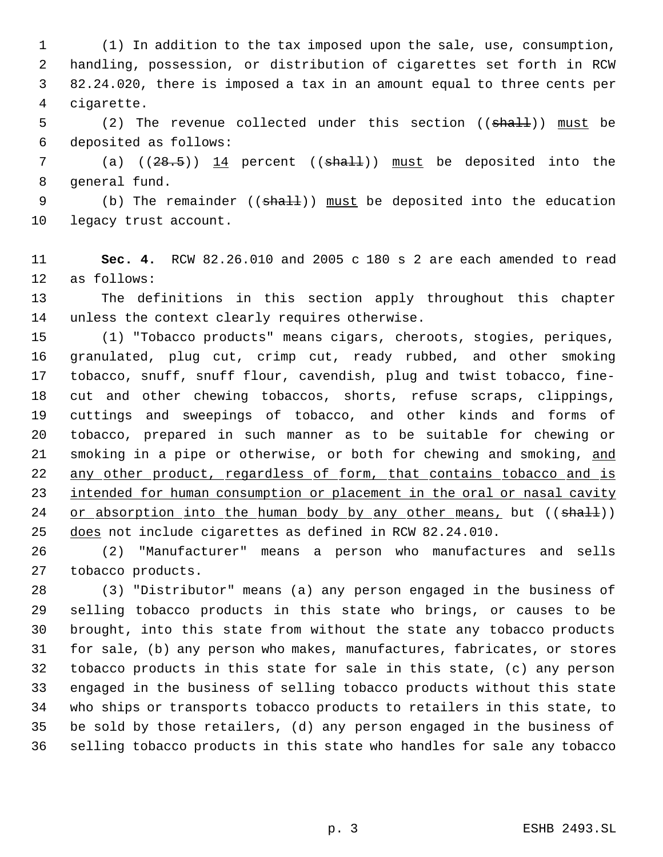(1) In addition to the tax imposed upon the sale, use, consumption, handling, possession, or distribution of cigarettes set forth in RCW 82.24.020, there is imposed a tax in an amount equal to three cents per cigarette.

5 (2) The revenue collected under this section ((shall)) must be deposited as follows:

7 (a)  $((28.5))$   $14$  percent (( $\text{shall}$ )) must be deposited into the general fund.

9 (b) The remainder ((shall)) must be deposited into the education legacy trust account.

 **Sec. 4.** RCW 82.26.010 and 2005 c 180 s 2 are each amended to read as follows:

 The definitions in this section apply throughout this chapter unless the context clearly requires otherwise.

 (1) "Tobacco products" means cigars, cheroots, stogies, periques, granulated, plug cut, crimp cut, ready rubbed, and other smoking tobacco, snuff, snuff flour, cavendish, plug and twist tobacco, fine- cut and other chewing tobaccos, shorts, refuse scraps, clippings, cuttings and sweepings of tobacco, and other kinds and forms of tobacco, prepared in such manner as to be suitable for chewing or 21 smoking in a pipe or otherwise, or both for chewing and smoking, and 22 any other product, regardless of form, that contains tobacco and is 23 intended for human consumption or placement in the oral or nasal cavity 24 or absorption into the human body by any other means, but  $((shall))$ does not include cigarettes as defined in RCW 82.24.010.

 (2) "Manufacturer" means a person who manufactures and sells tobacco products.

 (3) "Distributor" means (a) any person engaged in the business of selling tobacco products in this state who brings, or causes to be brought, into this state from without the state any tobacco products for sale, (b) any person who makes, manufactures, fabricates, or stores tobacco products in this state for sale in this state, (c) any person engaged in the business of selling tobacco products without this state who ships or transports tobacco products to retailers in this state, to be sold by those retailers, (d) any person engaged in the business of selling tobacco products in this state who handles for sale any tobacco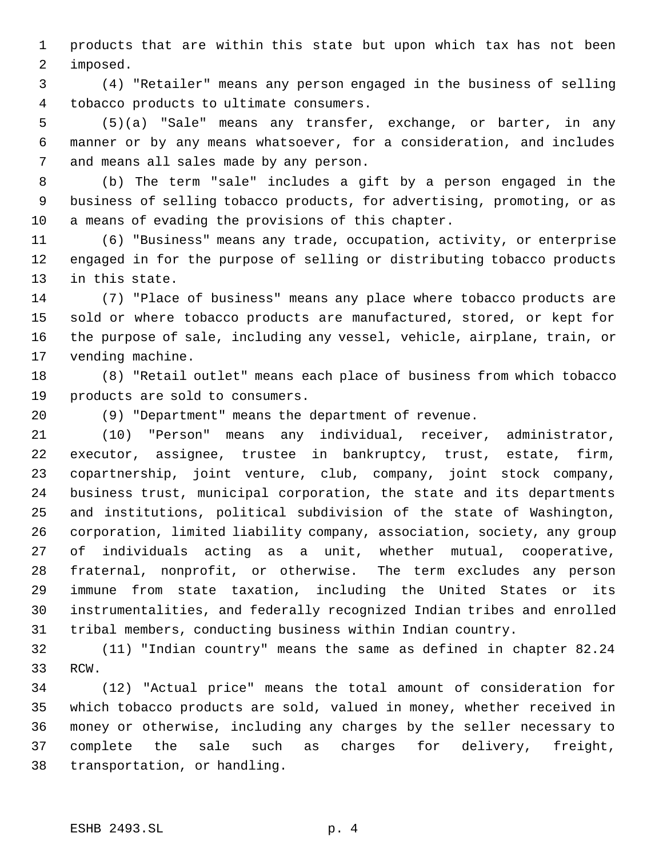products that are within this state but upon which tax has not been imposed.

 (4) "Retailer" means any person engaged in the business of selling tobacco products to ultimate consumers.

 (5)(a) "Sale" means any transfer, exchange, or barter, in any manner or by any means whatsoever, for a consideration, and includes and means all sales made by any person.

 (b) The term "sale" includes a gift by a person engaged in the business of selling tobacco products, for advertising, promoting, or as a means of evading the provisions of this chapter.

 (6) "Business" means any trade, occupation, activity, or enterprise engaged in for the purpose of selling or distributing tobacco products in this state.

 (7) "Place of business" means any place where tobacco products are sold or where tobacco products are manufactured, stored, or kept for the purpose of sale, including any vessel, vehicle, airplane, train, or vending machine.

 (8) "Retail outlet" means each place of business from which tobacco products are sold to consumers.

(9) "Department" means the department of revenue.

 (10) "Person" means any individual, receiver, administrator, executor, assignee, trustee in bankruptcy, trust, estate, firm, copartnership, joint venture, club, company, joint stock company, business trust, municipal corporation, the state and its departments and institutions, political subdivision of the state of Washington, corporation, limited liability company, association, society, any group of individuals acting as a unit, whether mutual, cooperative, fraternal, nonprofit, or otherwise. The term excludes any person immune from state taxation, including the United States or its instrumentalities, and federally recognized Indian tribes and enrolled tribal members, conducting business within Indian country.

 (11) "Indian country" means the same as defined in chapter 82.24 RCW.

 (12) "Actual price" means the total amount of consideration for which tobacco products are sold, valued in money, whether received in money or otherwise, including any charges by the seller necessary to complete the sale such as charges for delivery, freight, transportation, or handling.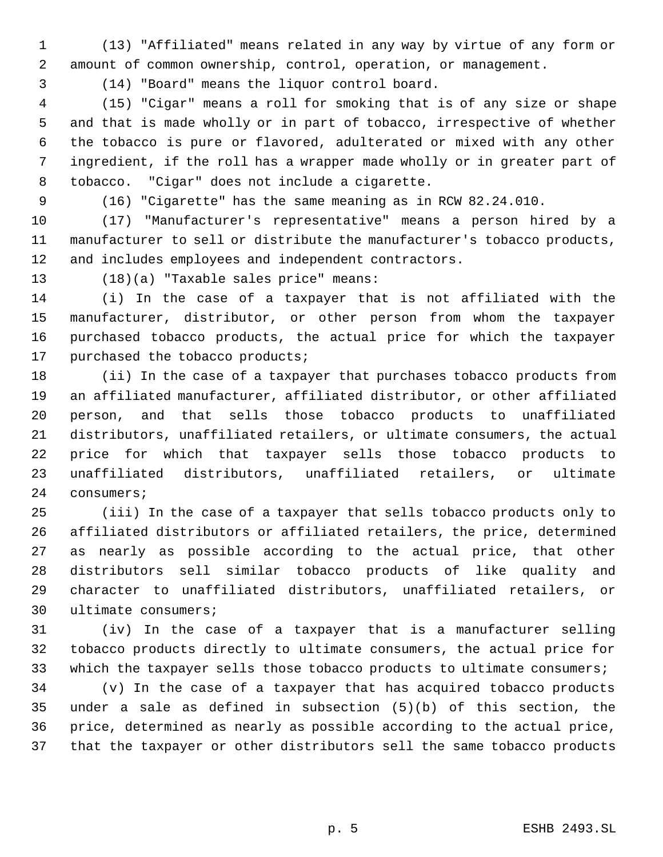- (13) "Affiliated" means related in any way by virtue of any form or amount of common ownership, control, operation, or management.
- 

(14) "Board" means the liquor control board.

 (15) "Cigar" means a roll for smoking that is of any size or shape and that is made wholly or in part of tobacco, irrespective of whether the tobacco is pure or flavored, adulterated or mixed with any other ingredient, if the roll has a wrapper made wholly or in greater part of tobacco. "Cigar" does not include a cigarette.

(16) "Cigarette" has the same meaning as in RCW 82.24.010.

 (17) "Manufacturer's representative" means a person hired by a manufacturer to sell or distribute the manufacturer's tobacco products, and includes employees and independent contractors.

(18)(a) "Taxable sales price" means:

 (i) In the case of a taxpayer that is not affiliated with the manufacturer, distributor, or other person from whom the taxpayer purchased tobacco products, the actual price for which the taxpayer purchased the tobacco products;

 (ii) In the case of a taxpayer that purchases tobacco products from an affiliated manufacturer, affiliated distributor, or other affiliated person, and that sells those tobacco products to unaffiliated distributors, unaffiliated retailers, or ultimate consumers, the actual price for which that taxpayer sells those tobacco products to unaffiliated distributors, unaffiliated retailers, or ultimate consumers;

 (iii) In the case of a taxpayer that sells tobacco products only to affiliated distributors or affiliated retailers, the price, determined as nearly as possible according to the actual price, that other distributors sell similar tobacco products of like quality and character to unaffiliated distributors, unaffiliated retailers, or ultimate consumers;

 (iv) In the case of a taxpayer that is a manufacturer selling tobacco products directly to ultimate consumers, the actual price for 33 which the taxpayer sells those tobacco products to ultimate consumers;

 (v) In the case of a taxpayer that has acquired tobacco products under a sale as defined in subsection (5)(b) of this section, the price, determined as nearly as possible according to the actual price, that the taxpayer or other distributors sell the same tobacco products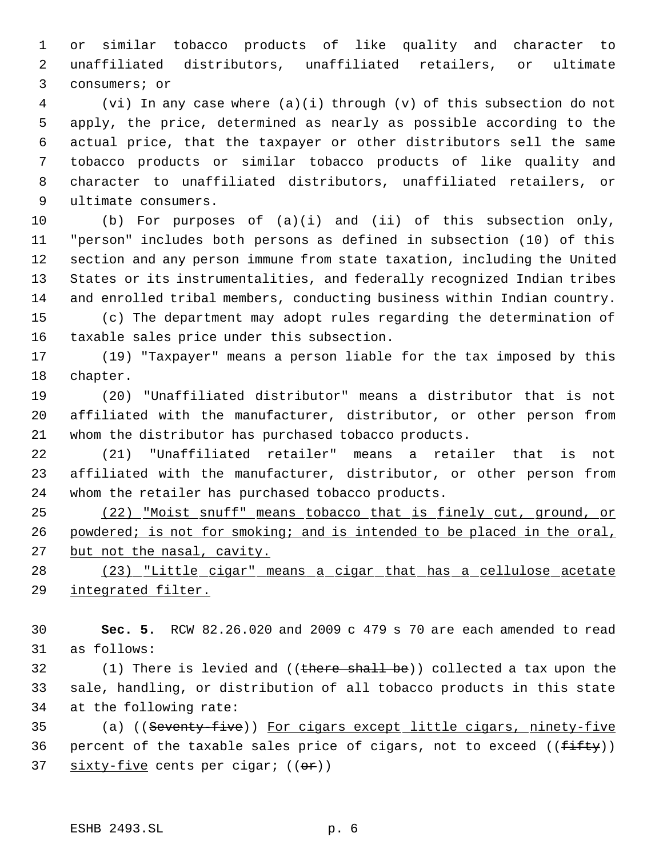or similar tobacco products of like quality and character to unaffiliated distributors, unaffiliated retailers, or ultimate consumers; or

 (vi) In any case where (a)(i) through (v) of this subsection do not apply, the price, determined as nearly as possible according to the actual price, that the taxpayer or other distributors sell the same tobacco products or similar tobacco products of like quality and character to unaffiliated distributors, unaffiliated retailers, or ultimate consumers.

 (b) For purposes of (a)(i) and (ii) of this subsection only, "person" includes both persons as defined in subsection (10) of this section and any person immune from state taxation, including the United States or its instrumentalities, and federally recognized Indian tribes and enrolled tribal members, conducting business within Indian country.

 (c) The department may adopt rules regarding the determination of taxable sales price under this subsection.

 (19) "Taxpayer" means a person liable for the tax imposed by this chapter.

 (20) "Unaffiliated distributor" means a distributor that is not affiliated with the manufacturer, distributor, or other person from whom the distributor has purchased tobacco products.

 (21) "Unaffiliated retailer" means a retailer that is not affiliated with the manufacturer, distributor, or other person from whom the retailer has purchased tobacco products.

 (22) "Moist snuff" means tobacco that is finely cut, ground, or 26 powdered; is not for smoking; and is intended to be placed in the oral, 27 but not the nasal, cavity.

 (23) "Little cigar" means a cigar that has a cellulose acetate integrated filter.

 **Sec. 5.** RCW 82.26.020 and 2009 c 479 s 70 are each amended to read as follows:

32 (1) There is levied and ((there shall be)) collected a tax upon the sale, handling, or distribution of all tobacco products in this state at the following rate:

 (a) ((Seventy-five)) For cigars except little cigars, ninety-five 36 percent of the taxable sales price of cigars, not to exceed  $((f\text{-}if\text{ty}))$ 37 sixty-five cents per cigar; ((or))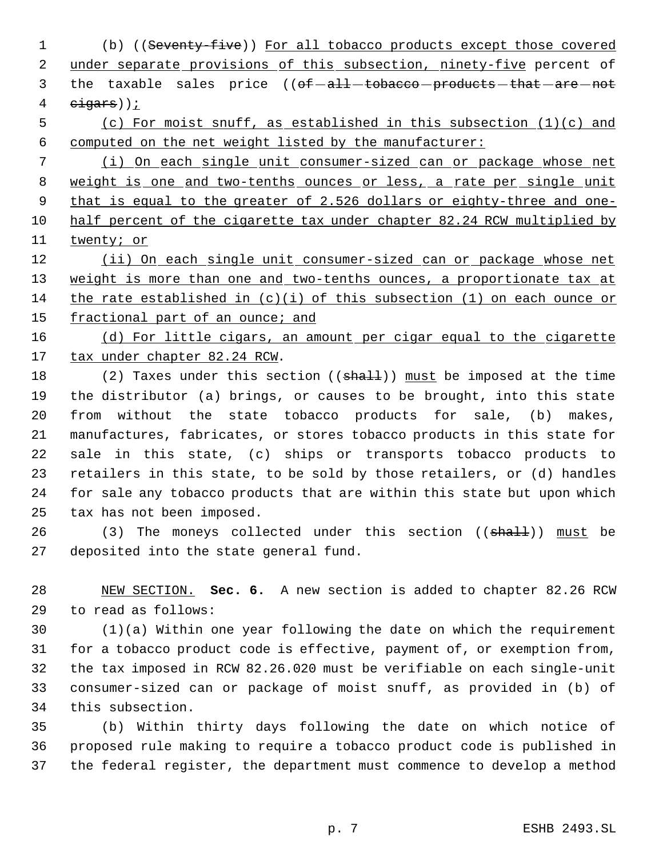(b) ((Seventy-five)) For all tobacco products except those covered 2 under separate provisions of this subsection, ninety-five percent of 3 the taxable sales price ((of-all-tobacco-products-that-are-not  $e$ igars));

 (c) For moist snuff, as established in this subsection (1)(c) and computed on the net weight listed by the manufacturer:

 (i) On each single unit consumer-sized can or package whose net 8 weight is one and two-tenths ounces or less, a rate per single unit that is equal to the greater of 2.526 dollars or eighty-three and one- half percent of the cigarette tax under chapter 82.24 RCW multiplied by twenty; or

12 (ii) On each single unit consumer-sized can or package whose net 13 weight is more than one and two-tenths ounces, a proportionate tax at the rate established in (c)(i) of this subsection (1) on each ounce or 15 fractional part of an ounce; and

16 (d) For little cigars, an amount per cigar equal to the cigarette 17 tax under chapter 82.24 RCW.

18 (2) Taxes under this section ((shall)) must be imposed at the time the distributor (a) brings, or causes to be brought, into this state from without the state tobacco products for sale, (b) makes, manufactures, fabricates, or stores tobacco products in this state for sale in this state, (c) ships or transports tobacco products to retailers in this state, to be sold by those retailers, or (d) handles for sale any tobacco products that are within this state but upon which tax has not been imposed.

26 (3) The moneys collected under this section ((shall)) must be deposited into the state general fund.

 NEW SECTION. **Sec. 6.** A new section is added to chapter 82.26 RCW to read as follows:

 (1)(a) Within one year following the date on which the requirement for a tobacco product code is effective, payment of, or exemption from, the tax imposed in RCW 82.26.020 must be verifiable on each single-unit consumer-sized can or package of moist snuff, as provided in (b) of this subsection.

 (b) Within thirty days following the date on which notice of proposed rule making to require a tobacco product code is published in the federal register, the department must commence to develop a method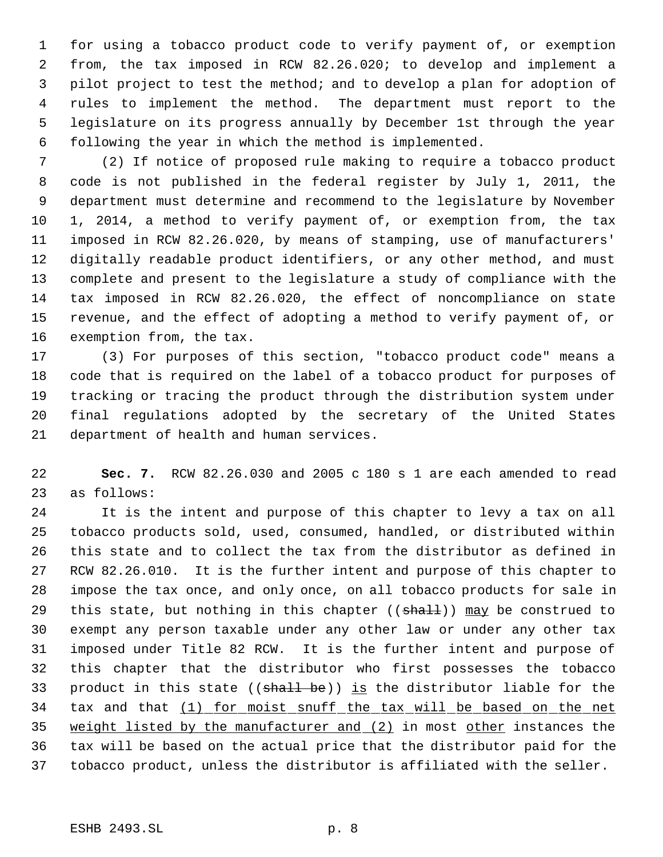for using a tobacco product code to verify payment of, or exemption from, the tax imposed in RCW 82.26.020; to develop and implement a pilot project to test the method; and to develop a plan for adoption of rules to implement the method. The department must report to the legislature on its progress annually by December 1st through the year following the year in which the method is implemented.

 (2) If notice of proposed rule making to require a tobacco product code is not published in the federal register by July 1, 2011, the department must determine and recommend to the legislature by November 1, 2014, a method to verify payment of, or exemption from, the tax imposed in RCW 82.26.020, by means of stamping, use of manufacturers' digitally readable product identifiers, or any other method, and must complete and present to the legislature a study of compliance with the tax imposed in RCW 82.26.020, the effect of noncompliance on state revenue, and the effect of adopting a method to verify payment of, or exemption from, the tax.

 (3) For purposes of this section, "tobacco product code" means a code that is required on the label of a tobacco product for purposes of tracking or tracing the product through the distribution system under final regulations adopted by the secretary of the United States department of health and human services.

 **Sec. 7.** RCW 82.26.030 and 2005 c 180 s 1 are each amended to read as follows:

 It is the intent and purpose of this chapter to levy a tax on all tobacco products sold, used, consumed, handled, or distributed within this state and to collect the tax from the distributor as defined in RCW 82.26.010. It is the further intent and purpose of this chapter to impose the tax once, and only once, on all tobacco products for sale in 29 this state, but nothing in this chapter  $((shall))$  may be construed to exempt any person taxable under any other law or under any other tax imposed under Title 82 RCW. It is the further intent and purpose of this chapter that the distributor who first possesses the tobacco 33 product in this state  $((\text{shall} \text{ be}))$  is the distributor liable for the 34 tax and that (1) for moist snuff the tax will be based on the net weight listed by the manufacturer and (2) in most other instances the tax will be based on the actual price that the distributor paid for the tobacco product, unless the distributor is affiliated with the seller.